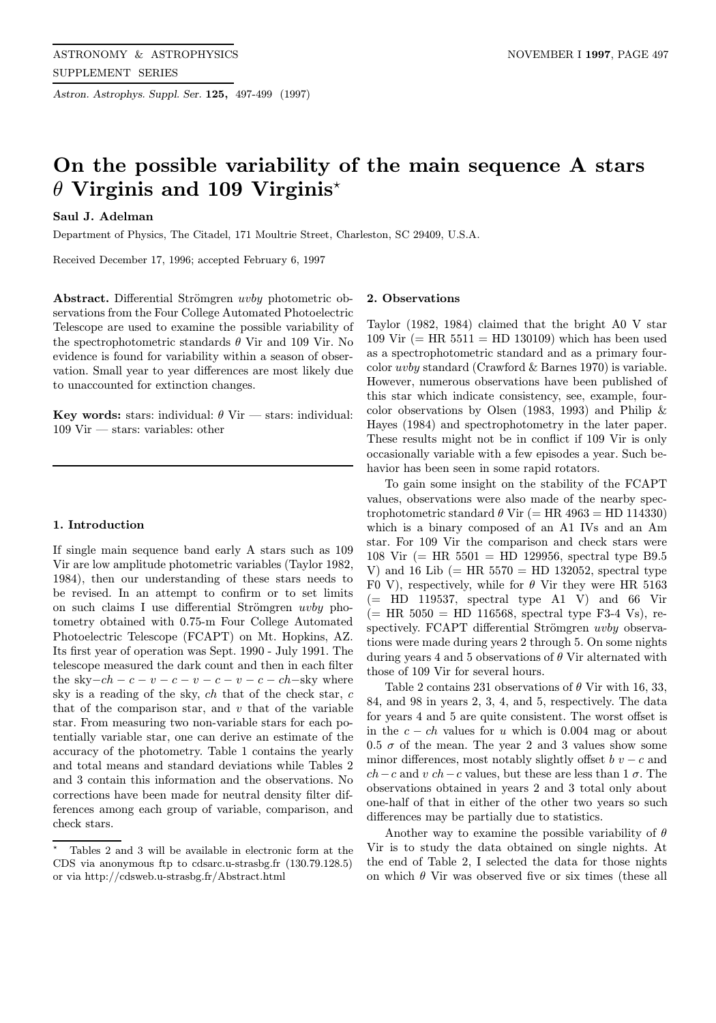Astron. Astrophys. Suppl. Ser. 125, 497-499 (1997)

# On the possible variability of the main sequence A stars  $\theta$  Virginis and 109 Virginis<sup>\*</sup>

## Saul J. Adelman

Department of Physics, The Citadel, 171 Moultrie Street, Charleston, SC 29409, U.S.A.

Received December 17, 1996; accepted February 6, 1997

Abstract. Differential Strömgren uvby photometric observations from the Four College Automated Photoelectric Telescope are used to examine the possible variability of the spectrophotometric standards  $\theta$  Vir and 109 Vir. No evidence is found for variability within a season of observation. Small year to year differences are most likely due to unaccounted for extinction changes.

Key words: stars: individual:  $\theta$  Vir — stars: individual: 109 Vir — stars: variables: other

## 1. Introduction

If single main sequence band early A stars such as 109 Vir are low amplitude photometric variables (Taylor 1982, 1984), then our understanding of these stars needs to be revised. In an attempt to confirm or to set limits on such claims I use differential Strömgren  $uvby$  photometry obtained with 0.75-m Four College Automated Photoelectric Telescope (FCAPT) on Mt. Hopkins, AZ. Its first year of operation was Sept. 1990 - July 1991. The telescope measured the dark count and then in each filter the sky $-ch - c - v - c - v - c - v - c - ch$  – sky where sky is a reading of the sky, ch that of the check star, c that of the comparison star, and  $v$  that of the variable star. From measuring two non-variable stars for each potentially variable star, one can derive an estimate of the accuracy of the photometry. Table 1 contains the yearly and total means and standard deviations while Tables 2 and 3 contain this information and the observations. No corrections have been made for neutral density filter differences among each group of variable, comparison, and check stars.

#### 2. Observations

Taylor (1982, 1984) claimed that the bright A0 V star 109 Vir ( $=$  HR 5511  $=$  HD 130109) which has been used as a spectrophotometric standard and as a primary fourcolor uvby standard (Crawford & Barnes 1970) is variable. However, numerous observations have been published of this star which indicate consistency, see, example, fourcolor observations by Olsen (1983, 1993) and Philip & Hayes (1984) and spectrophotometry in the later paper. These results might not be in conflict if 109 Vir is only occasionally variable with a few episodes a year. Such behavior has been seen in some rapid rotators.

To gain some insight on the stability of the FCAPT values, observations were also made of the nearby spectrophotometric standard  $\theta$  Vir (= HR 4963 = HD 114330) which is a binary composed of an A1 IVs and an Am star. For 109 Vir the comparison and check stars were 108 Vir (= HR  $5501 =$  HD 129956, spectral type B9.5 V) and 16 Lib (= HR  $5570 =$  HD 132052, spectral type F0 V), respectively, while for  $\theta$  Vir they were HR 5163  $(=$  HD 119537, spectral type A1 V) and 66 Vir  $(=$  HR 5050 = HD 116568, spectral type F3-4 Vs), respectively. FCAPT differential Strömgren uvby observations were made during years 2 through 5. On some nights during years 4 and 5 observations of  $\theta$  Vir alternated with those of 109 Vir for several hours.

Table 2 contains 231 observations of  $\theta$  Vir with 16, 33, 84, and 98 in years 2, 3, 4, and 5, respectively. The data for years 4 and 5 are quite consistent. The worst offset is in the  $c - ch$  values for u which is 0.004 mag or about  $0.5 \sigma$  of the mean. The year 2 and 3 values show some minor differences, most notably slightly offset  $b v - c$  and  $ch - c$  and v  $ch - c$  values, but these are less than 1  $\sigma$ . The observations obtained in years 2 and 3 total only about one-half of that in either of the other two years so such differences may be partially due to statistics.

Another way to examine the possible variability of  $\theta$ Vir is to study the data obtained on single nights. At the end of Table 2, I selected the data for those nights on which  $\theta$  Vir was observed five or six times (these all

<sup>?</sup> Tables 2 and 3 will be available in electronic form at the CDS via anonymous ftp to cdsarc.u-strasbg.fr (130.79.128.5) or via http://cdsweb.u-strasbg.fr/Abstract.html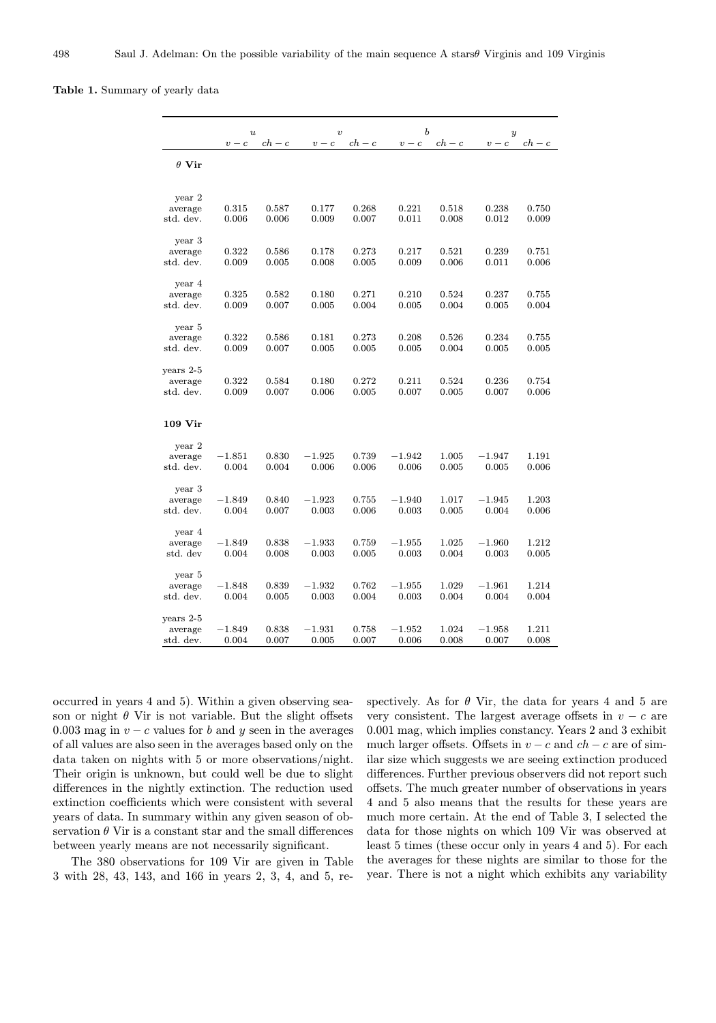### Table 1. Summary of yearly data

|                      | $\boldsymbol{u}$<br>$ch - c$<br>$v - c$ |                     | $\boldsymbol{\upsilon}$<br>$ch - c$<br>$v - c$ |                | $\boldsymbol{b}$<br>$ch - c$<br>$v - c$ |                | $\boldsymbol{y}$<br>$v - c$<br>$ch - c$ |                |
|----------------------|-----------------------------------------|---------------------|------------------------------------------------|----------------|-----------------------------------------|----------------|-----------------------------------------|----------------|
| $\theta$ Vir         |                                         |                     |                                                |                |                                         |                |                                         |                |
| year 2               |                                         |                     |                                                |                |                                         |                |                                         |                |
| average<br>std. dev. | 0.315<br>0.006                          | 0.587<br>0.006      | 0.177<br>0.009                                 | 0.268<br>0.007 | 0.221<br>0.011                          | 0.518<br>0.008 | 0.238<br>0.012                          | 0.750<br>0.009 |
| year 3               |                                         |                     |                                                |                |                                         |                |                                         |                |
| average<br>std. dev. | 0.322<br>0.009                          | 0.586<br>0.005      | 0.178<br>0.008                                 | 0.273<br>0.005 | 0.217<br>0.009                          | 0.521<br>0.006 | 0.239<br>0.011                          | 0.751<br>0.006 |
| year 4               |                                         |                     |                                                |                |                                         |                |                                         |                |
| average<br>std. dev. | 0.325<br>0.009                          | $_{0.582}$<br>0.007 | 0.180<br>0.005                                 | 0.271<br>0.004 | 0.210<br>0.005                          | 0.524<br>0.004 | $_{0.237}$<br>0.005                     | 0.755<br>0.004 |
| year 5               |                                         |                     |                                                |                |                                         |                |                                         |                |
| average<br>std. dev. | 0.322<br>0.009                          | $_{0.586}$<br>0.007 | 0.181<br>0.005                                 | 0.273<br>0.005 | 0.208<br>0.005                          | 0.526<br>0.004 | 0.234<br>0.005                          | 0.755<br>0.005 |
| years 2-5            |                                         |                     |                                                |                |                                         |                |                                         |                |
| average<br>std. dev. | 0.322<br>0.009                          | 0.584<br>0.007      | 0.180<br>0.006                                 | 0.272<br>0.005 | 0.211<br>0.007                          | 0.524<br>0.005 | 0.236<br>0.007                          | 0.754<br>0.006 |
| $109\;\mathrm{Vir}$  |                                         |                     |                                                |                |                                         |                |                                         |                |
| year 2               |                                         |                     |                                                |                |                                         |                |                                         |                |
| average<br>std. dev. | $-1.851$<br>0.004                       | 0.830<br>0.004      | $-1.925$<br>0.006                              | 0.739<br>0.006 | $-1.942$<br>0.006                       | 1.005<br>0.005 | $-1.947$<br>0.005                       | 1.191<br>0.006 |
| year 3               |                                         |                     |                                                |                |                                         |                |                                         |                |
| average<br>std. dev. | $-1.849$<br>0.004                       | 0.840<br>0.007      | $-1.923$<br>0.003                              | 0.755<br>0.006 | $-1.940$<br>0.003                       | 1.017<br>0.005 | $-1.945$<br>0.004                       | 1.203<br>0.006 |
| year 4               |                                         |                     | $-1.933$                                       |                | $-1.955$                                | 1.025          |                                         | 1.212          |
| average<br>std. dev  | $-1.849$<br>0.004                       | 0.838<br>0.008      | 0.003                                          | 0.759<br>0.005 | 0.003                                   | 0.004          | $-1.960$<br>0.003                       | 0.005          |
| year 5               |                                         |                     |                                                |                |                                         |                |                                         |                |
| average<br>std. dev. | $-1.848$<br>0.004                       | 0.839<br>0.005      | $-1.932$<br>0.003                              | 0.762<br>0.004 | $-1.955$<br>0.003                       | 1.029<br>0.004 | $-1.961$<br>0.004                       | 1.214<br>0.004 |
| years 2-5            |                                         |                     |                                                |                |                                         |                |                                         |                |
| average<br>std. dev. | $-1.849$<br>0.004                       | 0.838<br>0.007      | $-1.931$<br>0.005                              | 0.758<br>0.007 | $-1.952$<br>0.006                       | 1.024<br>0.008 | $-1.958$<br>0.007                       | 1.211<br>0.008 |

occurred in years 4 and 5). Within a given observing season or night  $\theta$  Vir is not variable. But the slight offsets 0.003 mag in  $v - c$  values for b and y seen in the averages of all values are also seen in the averages based only on the data taken on nights with 5 or more observations/night. Their origin is unknown, but could well be due to slight differences in the nightly extinction. The reduction used extinction coefficients which were consistent with several years of data. In summary within any given season of observation  $\theta$  Vir is a constant star and the small differences between yearly means are not necessarily significant.

The 380 observations for 109 Vir are given in Table 3 with 28, 43, 143, and 166 in years 2, 3, 4, and 5, respectively. As for  $\theta$  Vir, the data for years 4 and 5 are very consistent. The largest average offsets in  $v - c$  are 0.001 mag, which implies constancy. Years 2 and 3 exhibit much larger offsets. Offsets in  $v - c$  and  $ch - c$  are of similar size which suggests we are seeing extinction produced differences. Further previous observers did not report such offsets. The much greater number of observations in years 4 and 5 also means that the results for these years are much more certain. At the end of Table 3, I selected the data for those nights on which 109 Vir was observed at least 5 times (these occur only in years 4 and 5). For each the averages for these nights are similar to those for the year. There is not a night which exhibits any variability